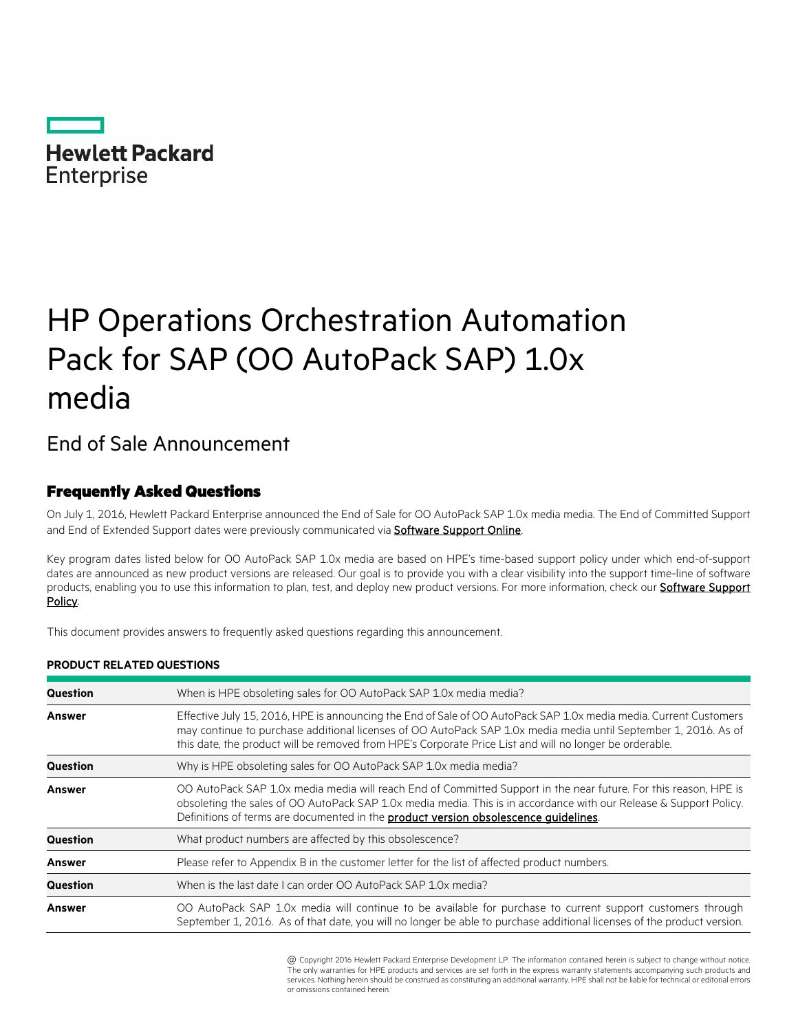

# HP Operations Orchestration Automation Pack for SAP (OO AutoPack SAP) 1.0x media

## End of Sale Announcement

### Frequently Asked Questions

**PRODUCT RELATED QUESTIONS**

On July 1, 2016, Hewlett Packard Enterprise announced the End of Sale for OO AutoPack SAP 1.0x media media. The End of Committed Support and End of Extended Support dates were previously communicated via **Software Support Online**.

Key program dates listed below for OO AutoPack SAP 1.0x media are based on HPE's time-based support policy under which end-of-support dates are announced as new product versions are released. Our goal is to provide you with a clear visibility into the support time-line of software products, enabling you to use this information to plan, test, and deploy new product versions. For more information, check our **Software Support** [Policy.](https://softwaresupport.hpe.com/web/softwaresupport/document/-/facetsearch/document/KM01510370)

This document provides answers to frequently asked questions regarding this announcement.

| Question      | When is HPE obsoleting sales for OO AutoPack SAP 1.0x media media?                                                                                                                                                                                                                                                                              |  |
|---------------|-------------------------------------------------------------------------------------------------------------------------------------------------------------------------------------------------------------------------------------------------------------------------------------------------------------------------------------------------|--|
| <b>Answer</b> | Effective July 15, 2016. HPE is announcing the End of Sale of OO AutoPack SAP 1.0x media media. Current Customers<br>may continue to purchase additional licenses of OO AutoPack SAP 1.0x media media until September 1, 2016. As of<br>this date, the product will be removed from HPE's Corporate Price List and will no longer be orderable. |  |
| Question      | Why is HPE obsoleting sales for OO AutoPack SAP 1.0x media media?                                                                                                                                                                                                                                                                               |  |
| <b>Answer</b> | OO AutoPack SAP 1.0x media media will reach End of Committed Support in the near future. For this reason, HPE is<br>obsoleting the sales of OO AutoPack SAP 1.0x media media. This is in accordance with our Release & Support Policy.<br>Definitions of terms are documented in the <b>product version obsolescence quidelines</b> .           |  |
| Question      | What product numbers are affected by this obsolescence?                                                                                                                                                                                                                                                                                         |  |
| <b>Answer</b> | Please refer to Appendix B in the customer letter for the list of affected product numbers.                                                                                                                                                                                                                                                     |  |
| Question      | When is the last date I can order OO AutoPack SAP 1.0x media?                                                                                                                                                                                                                                                                                   |  |
| <b>Answer</b> | OO AutoPack SAP 1.0x media will continue to be available for purchase to current support customers through<br>September 1, 2016. As of that date, you will no longer be able to purchase additional licenses of the product version.                                                                                                            |  |

\* @ Copyright 2016 Hewlett Packard Enterprise Development LP. The information contained herein is subject to change without notice. The only warranties for HPE products and services are set forth in the express warranty statements accompanying such products and services. Nothing herein should be construed as constituting an additional warranty. HPE shall not be liable for technical or editorial errors or omissions contained herein.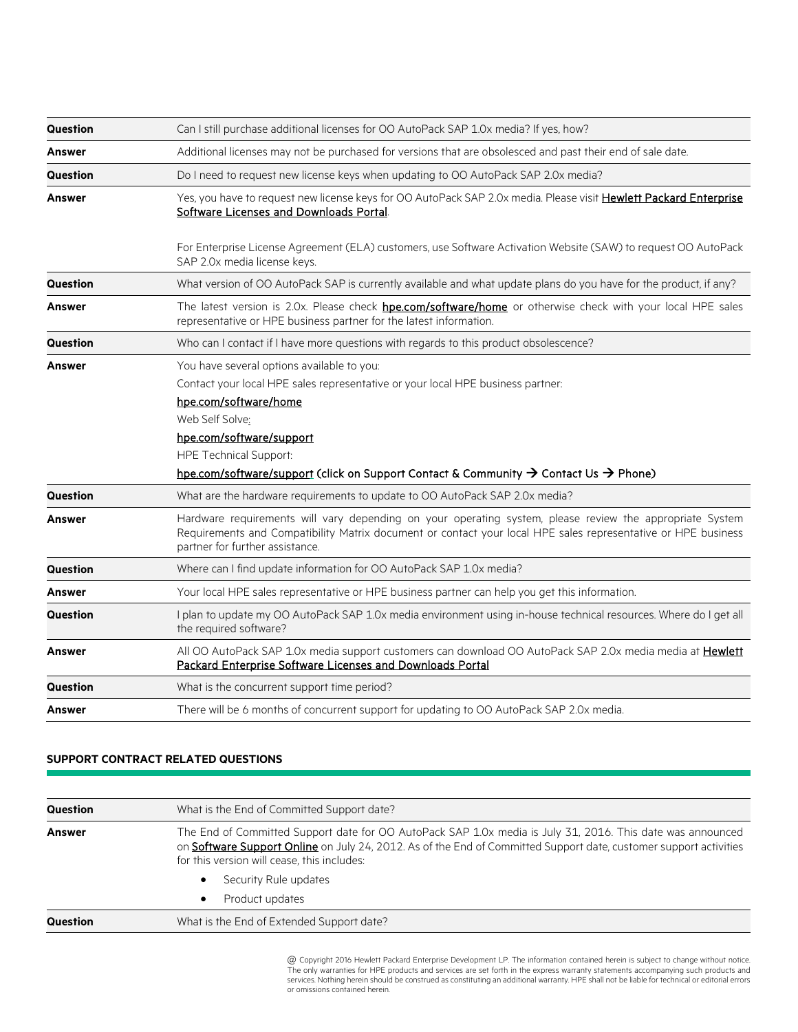| <b>Question</b> | Can I still purchase additional licenses for OO AutoPack SAP 1.0x media? If yes, how?                                                                                                                                                                                                                                                                  |
|-----------------|--------------------------------------------------------------------------------------------------------------------------------------------------------------------------------------------------------------------------------------------------------------------------------------------------------------------------------------------------------|
| <b>Answer</b>   | Additional licenses may not be purchased for versions that are obsolesced and past their end of sale date.                                                                                                                                                                                                                                             |
| Question        | Do I need to request new license keys when updating to OO AutoPack SAP 2.0x media?                                                                                                                                                                                                                                                                     |
| <b>Answer</b>   | Yes, you have to request new license keys for OO AutoPack SAP 2.0x media. Please visit Hewlett Packard Enterprise<br>Software Licenses and Downloads Portal.                                                                                                                                                                                           |
|                 | For Enterprise License Agreement (ELA) customers, use Software Activation Website (SAW) to request OO AutoPack<br>SAP 2.0x media license keys.                                                                                                                                                                                                         |
| Question        | What version of OO AutoPack SAP is currently available and what update plans do you have for the product, if any?                                                                                                                                                                                                                                      |
| <b>Answer</b>   | The latest version is 2.0x. Please check hpe.com/software/home or otherwise check with your local HPE sales<br>representative or HPE business partner for the latest information.                                                                                                                                                                      |
| Question        | Who can I contact if I have more questions with regards to this product obsolescence?                                                                                                                                                                                                                                                                  |
| <b>Answer</b>   | You have several options available to you:<br>Contact your local HPE sales representative or your local HPE business partner:<br>hpe.com/software/home<br>Web Self Solve:<br>hpe.com/software/support<br><b>HPE Technical Support:</b><br>hpe.com/software/support (click on Support Contact & Community $\rightarrow$ Contact Us $\rightarrow$ Phone) |
| <b>Question</b> | What are the hardware requirements to update to OO AutoPack SAP 2.0x media?                                                                                                                                                                                                                                                                            |
| <b>Answer</b>   | Hardware requirements will vary depending on your operating system, please review the appropriate System<br>Requirements and Compatibility Matrix document or contact your local HPE sales representative or HPE business<br>partner for further assistance.                                                                                           |
| Question        | Where can I find update information for OO AutoPack SAP 1.0x media?                                                                                                                                                                                                                                                                                    |
| Answer          | Your local HPE sales representative or HPE business partner can help you get this information.                                                                                                                                                                                                                                                         |
| <b>Question</b> | I plan to update my OO AutoPack SAP 1.0x media environment using in-house technical resources. Where do I get all<br>the required software?                                                                                                                                                                                                            |
| <b>Answer</b>   | All OO AutoPack SAP 1.0x media support customers can download OO AutoPack SAP 2.0x media media at Hewlett<br><b>Packard Enterprise Software Licenses and Downloads Portal</b>                                                                                                                                                                          |
| Question        | What is the concurrent support time period?                                                                                                                                                                                                                                                                                                            |
| <b>Answer</b>   | There will be 6 months of concurrent support for updating to OO AutoPack SAP 2.0x media.                                                                                                                                                                                                                                                               |

#### **SUPPORT CONTRACT RELATED QUESTIONS**

| Question | What is the End of Committed Support date?                                                                                                                                                                                                                                     |
|----------|--------------------------------------------------------------------------------------------------------------------------------------------------------------------------------------------------------------------------------------------------------------------------------|
| Answer   | The End of Committed Support date for OO AutoPack SAP 1.0x media is July 31, 2016. This date was announced<br>on Software Support Online on July 24, 2012. As of the End of Committed Support date, customer support activities<br>for this version will cease, this includes: |
|          | Security Rule updates<br>$\bullet$                                                                                                                                                                                                                                             |
|          | Product updates<br>$\bullet$                                                                                                                                                                                                                                                   |
| Question | What is the End of Extended Support date?                                                                                                                                                                                                                                      |

\* @ Copyright 2016 Hewlett Packard Enterprise Development LP. The information contained herein is subject to change without notice. The only warranties for HPE products and services are set forth in the express warranty statements accompanying such products and<br>services. Nothing herein should be construed as constituting an additional warranty. HPE sha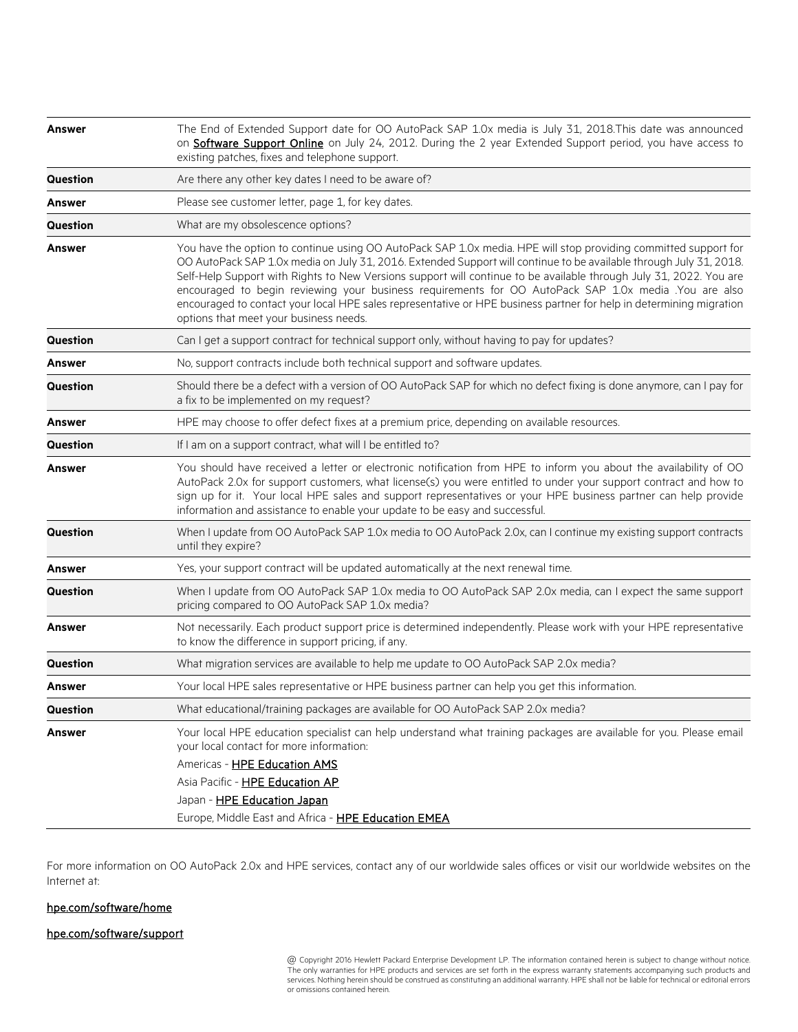| <b>Answer</b>   | The End of Extended Support date for OO AutoPack SAP 1.0x media is July 31, 2018. This date was announced<br>on Software Support Online on July 24, 2012. During the 2 year Extended Support period, you have access to<br>existing patches, fixes and telephone support.                                                                                                                                                                                                                                                                                                                                                             |
|-----------------|---------------------------------------------------------------------------------------------------------------------------------------------------------------------------------------------------------------------------------------------------------------------------------------------------------------------------------------------------------------------------------------------------------------------------------------------------------------------------------------------------------------------------------------------------------------------------------------------------------------------------------------|
| <b>Question</b> | Are there any other key dates I need to be aware of?                                                                                                                                                                                                                                                                                                                                                                                                                                                                                                                                                                                  |
| Answer          | Please see customer letter, page 1, for key dates.                                                                                                                                                                                                                                                                                                                                                                                                                                                                                                                                                                                    |
| <b>Question</b> | What are my obsolescence options?                                                                                                                                                                                                                                                                                                                                                                                                                                                                                                                                                                                                     |
| <b>Answer</b>   | You have the option to continue using OO AutoPack SAP 1.0x media. HPE will stop providing committed support for<br>OO AutoPack SAP 1.0x media on July 31, 2016. Extended Support will continue to be available through July 31, 2018.<br>Self-Help Support with Rights to New Versions support will continue to be available through July 31, 2022. You are<br>encouraged to begin reviewing your business requirements for OO AutoPack SAP 1.0x media .You are also<br>encouraged to contact your local HPE sales representative or HPE business partner for help in determining migration<br>options that meet your business needs. |
| Question        | Can I get a support contract for technical support only, without having to pay for updates?                                                                                                                                                                                                                                                                                                                                                                                                                                                                                                                                           |
| <b>Answer</b>   | No, support contracts include both technical support and software updates.                                                                                                                                                                                                                                                                                                                                                                                                                                                                                                                                                            |
| <b>Question</b> | Should there be a defect with a version of OO AutoPack SAP for which no defect fixing is done anymore, can I pay for<br>a fix to be implemented on my request?                                                                                                                                                                                                                                                                                                                                                                                                                                                                        |
| <b>Answer</b>   | HPE may choose to offer defect fixes at a premium price, depending on available resources.                                                                                                                                                                                                                                                                                                                                                                                                                                                                                                                                            |
| <b>Question</b> | If I am on a support contract, what will I be entitled to?                                                                                                                                                                                                                                                                                                                                                                                                                                                                                                                                                                            |
| <b>Answer</b>   | You should have received a letter or electronic notification from HPE to inform you about the availability of OO<br>AutoPack 2.0x for support customers, what license(s) you were entitled to under your support contract and how to<br>sign up for it. Your local HPE sales and support representatives or your HPE business partner can help provide<br>information and assistance to enable your update to be easy and successful.                                                                                                                                                                                                 |
| <b>Question</b> | When I update from OO AutoPack SAP 1.0x media to OO AutoPack 2.0x, can I continue my existing support contracts<br>until they expire?                                                                                                                                                                                                                                                                                                                                                                                                                                                                                                 |
| Answer          | Yes, your support contract will be updated automatically at the next renewal time.                                                                                                                                                                                                                                                                                                                                                                                                                                                                                                                                                    |
| Question        | When I update from OO AutoPack SAP 1.0x media to OO AutoPack SAP 2.0x media, can I expect the same support<br>pricing compared to OO AutoPack SAP 1.0x media?                                                                                                                                                                                                                                                                                                                                                                                                                                                                         |
| <b>Answer</b>   | Not necessarily. Each product support price is determined independently. Please work with your HPE representative<br>to know the difference in support pricing, if any.                                                                                                                                                                                                                                                                                                                                                                                                                                                               |
| <b>Question</b> | What migration services are available to help me update to OO AutoPack SAP 2.0x media?                                                                                                                                                                                                                                                                                                                                                                                                                                                                                                                                                |
| Answer          | Your local HPE sales representative or HPE business partner can help you get this information.                                                                                                                                                                                                                                                                                                                                                                                                                                                                                                                                        |
| Question        | What educational/training packages are available for OO AutoPack SAP 2.0x media?                                                                                                                                                                                                                                                                                                                                                                                                                                                                                                                                                      |
| Answer          | Your local HPE education specialist can help understand what training packages are available for you. Please email<br>your local contact for more information:<br>Americas - HPE Education AMS<br>Asia Pacific - HPE Education AP                                                                                                                                                                                                                                                                                                                                                                                                     |
|                 | Japan - HPE Education Japan<br>Europe, Middle East and Africa - HPE Education EMEA                                                                                                                                                                                                                                                                                                                                                                                                                                                                                                                                                    |
|                 |                                                                                                                                                                                                                                                                                                                                                                                                                                                                                                                                                                                                                                       |

For more information on OO AutoPack 2.0x and HPE services, contact any of our worldwide sales offices or visit our worldwide websites on the Internet at:

#### [hpe.com/software/home](http://www.hpe.com/software/home)

#### [hpe.com/software/support](http://www.hpe.com/software/support)

\* @ Copyright 2016 Hewlett Packard Enterprise Development LP. The information contained herein is subject to change without notice. The only warranties for HPE products and services are set forth in the express warranty statements accompanying such products and services. Nothing herein should be construed as constituting an additional warranty. HPE shall not be liable for technical or editorial errors or omissions contained herein.